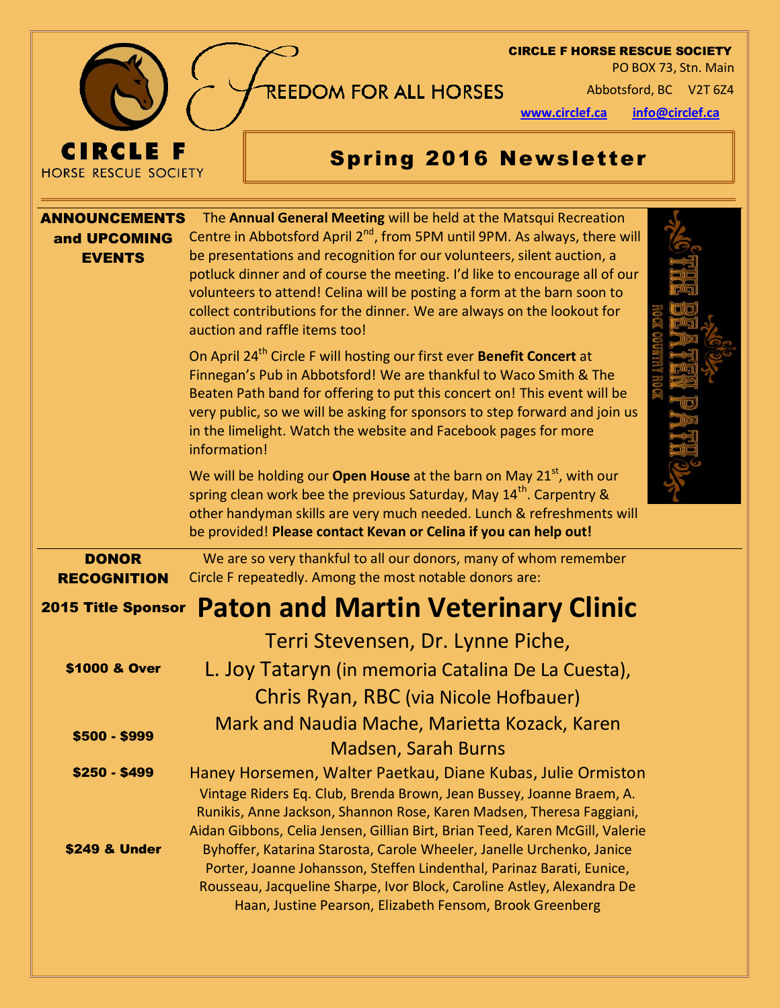

#### CIRCLE F HORSE RESCUE SOCIETY

PO BOX 73, Stn. Main

REEDOM FOR ALL HORSES Abbotsford, BC V2T 6Z4

**www.circlef.ca info@circlef.ca**

# Spring 2016 Newsletter

| <b>ANNOUNCEMENTS</b><br>and UPCOMING<br><b>EVENTS</b> | The Annual General Meeting will be held at the Matsqui Recreation<br>Centre in Abbotsford April 2 <sup>nd</sup> , from 5PM until 9PM. As always, there will<br>be presentations and recognition for our volunteers, silent auction, a                                                                                                                                                                      |  |
|-------------------------------------------------------|------------------------------------------------------------------------------------------------------------------------------------------------------------------------------------------------------------------------------------------------------------------------------------------------------------------------------------------------------------------------------------------------------------|--|
|                                                       | potluck dinner and of course the meeting. I'd like to encourage all of our<br>volunteers to attend! Celina will be posting a form at the barn soon to<br>collect contributions for the dinner. We are always on the lookout for<br>auction and raffle items too!                                                                                                                                           |  |
|                                                       | On April 24 <sup>th</sup> Circle F will hosting our first ever <b>Benefit Concert</b> at<br>Finnegan's Pub in Abbotsford! We are thankful to Waco Smith & The<br>Beaten Path band for offering to put this concert on! This event will be<br>very public, so we will be asking for sponsors to step forward and join us<br>in the limelight. Watch the website and Facebook pages for more<br>information! |  |
|                                                       | We will be holding our Open House at the barn on May 21 <sup>st</sup> , with our<br>spring clean work bee the previous Saturday, May 14 <sup>th</sup> . Carpentry &<br>other handyman skills are very much needed. Lunch & refreshments will<br>be provided! Please contact Kevan or Celina if you can help out!                                                                                           |  |
| <b>DONOR</b><br><b>RECOGNITION</b>                    | We are so very thankful to all our donors, many of whom remember<br>Circle F repeatedly. Among the most notable donors are:                                                                                                                                                                                                                                                                                |  |
| <b>2015 Title Sponsor</b>                             | <b>Paton and Martin Veterinary Clinic</b>                                                                                                                                                                                                                                                                                                                                                                  |  |
|                                                       | Terri Stevensen, Dr. Lynne Piche,                                                                                                                                                                                                                                                                                                                                                                          |  |
| \$1000 & Over                                         | L. Joy Tataryn (in memoria Catalina De La Cuesta),                                                                                                                                                                                                                                                                                                                                                         |  |
|                                                       | Chris Ryan, RBC (via Nicole Hofbauer)                                                                                                                                                                                                                                                                                                                                                                      |  |
| \$500 - \$999                                         | Mark and Naudia Mache, Marietta Kozack, Karen<br><b>Madsen, Sarah Burns</b>                                                                                                                                                                                                                                                                                                                                |  |
| \$250 - \$499                                         | Haney Horsemen, Walter Paetkau, Diane Kubas, Julie Ormiston<br>Vintage Riders Eq. Club, Brenda Brown, Jean Bussey, Joanne Braem, A.<br>Runikis, Anne Jackson, Shannon Rose, Karen Madsen, Theresa Faggiani,<br>Aidan Gibbons, Celia Jensen, Gillian Birt, Brian Teed, Karen McGill, Valerie                                                                                                                |  |
| \$249 & Under                                         | Byhoffer, Katarina Starosta, Carole Wheeler, Janelle Urchenko, Janice<br>Porter, Joanne Johansson, Steffen Lindenthal, Parinaz Barati, Eunice,<br>Rousseau, Jacqueline Sharpe, Ivor Block, Caroline Astley, Alexandra De<br>Haan, Justine Pearson, Elizabeth Fensom, Brook Greenberg                                                                                                                       |  |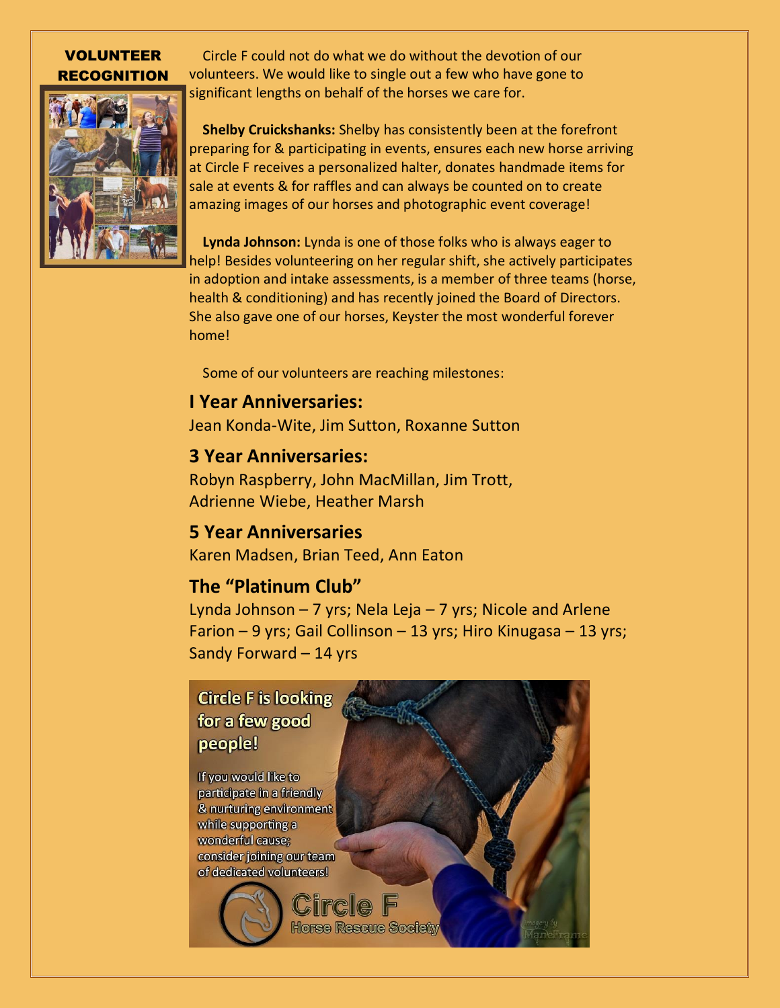#### VOLUNTEER RECOGNITION

 Circle F could not do what we do without the devotion of our volunteers. We would like to single out a few who have gone to significant lengths on behalf of the horses we care for.

 **Shelby Cruickshanks:** Shelby has consistently been at the forefront preparing for & participating in events, ensures each new horse arriving at Circle F receives a personalized halter, donates handmade items for sale at events & for raffles and can always be counted on to create amazing images of our horses and photographic event coverage!

 **Lynda Johnson:** Lynda is one of those folks who is always eager to help! Besides volunteering on her regular shift, she actively participates in adoption and intake assessments, is a member of three teams (horse, health & conditioning) and has recently joined the Board of Directors. She also gave one of our horses, Keyster the most wonderful forever home!

Some of our volunteers are reaching milestones:

#### **I Year Anniversaries:**

Jean Konda-Wite, Jim Sutton, Roxanne Sutton

#### **3 Year Anniversaries:**

Robyn Raspberry, John MacMillan, Jim Trott, Adrienne Wiebe, Heather Marsh

#### **5 Year Anniversaries**

Karen Madsen, Brian Teed, Ann Eaton

#### **The "Platinum Club"**

Lynda Johnson  $-7$  yrs; Nela Leja  $-7$  yrs; Nicole and Arlene Farion – 9 yrs; Gail Collinson – 13 yrs; Hiro Kinugasa – 13 yrs; Sandy Forward – 14 yrs

### **Circle F is looking** for a few good people!

If you would like to participate in a friendly & nurturing environment while supporting a wonderful cause; consider joining our team of dedicated volunteers!

Horse Rescue Society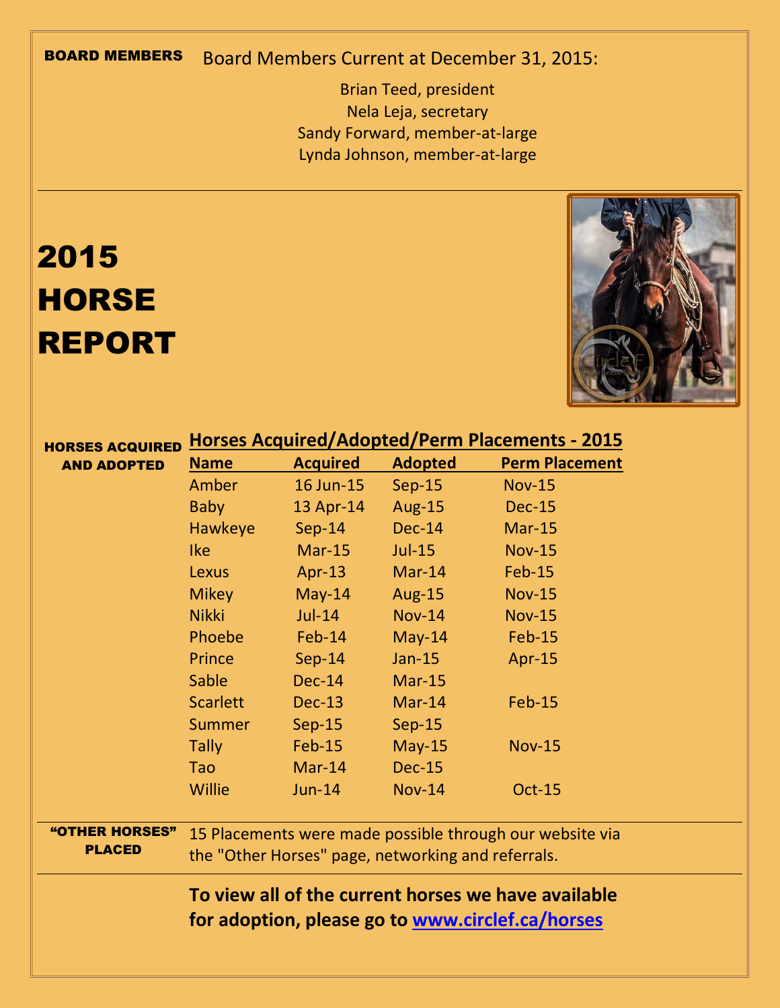## BOARD MEMBERS Board Members Current at December 31, 2015:

Brian Teed, president Nela Leja, secretary Sandy Forward, member-at-large Lynda Johnson, member-at-large

# 2015 **HORSE** REPORT



| <b>HORSES ACQUIRED</b>          | <b>Horses Acquired/Adopted/Perm Placements - 2015</b>                                                          |                       |                |                       |  |  |
|---------------------------------|----------------------------------------------------------------------------------------------------------------|-----------------------|----------------|-----------------------|--|--|
| <b>AND ADOPTED</b>              | <b>Name</b>                                                                                                    | <b>Acquired</b>       | <b>Adopted</b> | <b>Perm Placement</b> |  |  |
|                                 | Amber                                                                                                          | 16 Jun-15             | $Sep-15$       | <b>Nov-15</b>         |  |  |
|                                 | <b>Baby</b>                                                                                                    | 13 Apr-14             | <b>Aug-15</b>  | <b>Dec-15</b>         |  |  |
|                                 | <b>Hawkeye</b>                                                                                                 | $Sep-14$              | $Dec-14$       | $Mar-15$              |  |  |
|                                 | <b>Ike</b>                                                                                                     | $Mar-15$              | $Jul-15$       | <b>Nov-15</b>         |  |  |
|                                 | <b>Lexus</b>                                                                                                   | Apr-13 $\overline{a}$ | $Mar-14$       | <b>Feb-15</b>         |  |  |
|                                 | <b>Mikey</b>                                                                                                   | $May-14$              | <b>Aug-15</b>  | <b>Nov-15</b>         |  |  |
|                                 | <b>Nikki</b>                                                                                                   | $Jul-14$              | $Nov-14$       | <b>Nov-15</b>         |  |  |
|                                 | <b>Phoebe</b>                                                                                                  | $Feb-14$              | $May-14$       | Feb-15                |  |  |
|                                 | Prince                                                                                                         | $Sep-14$              | $Jan-15$       | Apr-15                |  |  |
|                                 | <b>Sable</b>                                                                                                   | $Dec-14$              | $Mar-15$       |                       |  |  |
|                                 | <b>Scarlett</b>                                                                                                | $Dec-13$              | $Mar-14$       | <b>Feb-15</b>         |  |  |
|                                 | <b>Summer</b>                                                                                                  | $Sep-15$              | $Sep-15$       |                       |  |  |
|                                 | <b>Tally</b>                                                                                                   | $Feb-15$              | $May-15$       | <b>Nov-15</b>         |  |  |
|                                 | <b>Tao</b>                                                                                                     | $Mar-14$              | <b>Dec-15</b>  |                       |  |  |
|                                 | <b>Willie</b>                                                                                                  | $Jun-14$              | <b>Nov-14</b>  | <b>Oct-15</b>         |  |  |
| "OTHER HORSES"<br><b>PLACED</b> | 15 Placements were made possible through our website via<br>the "Other Horses" page, networking and referrals. |                       |                |                       |  |  |
|                                 | To view all of the current horses we have available<br>for adoption, please go to www.circlef.ca/horses        |                       |                |                       |  |  |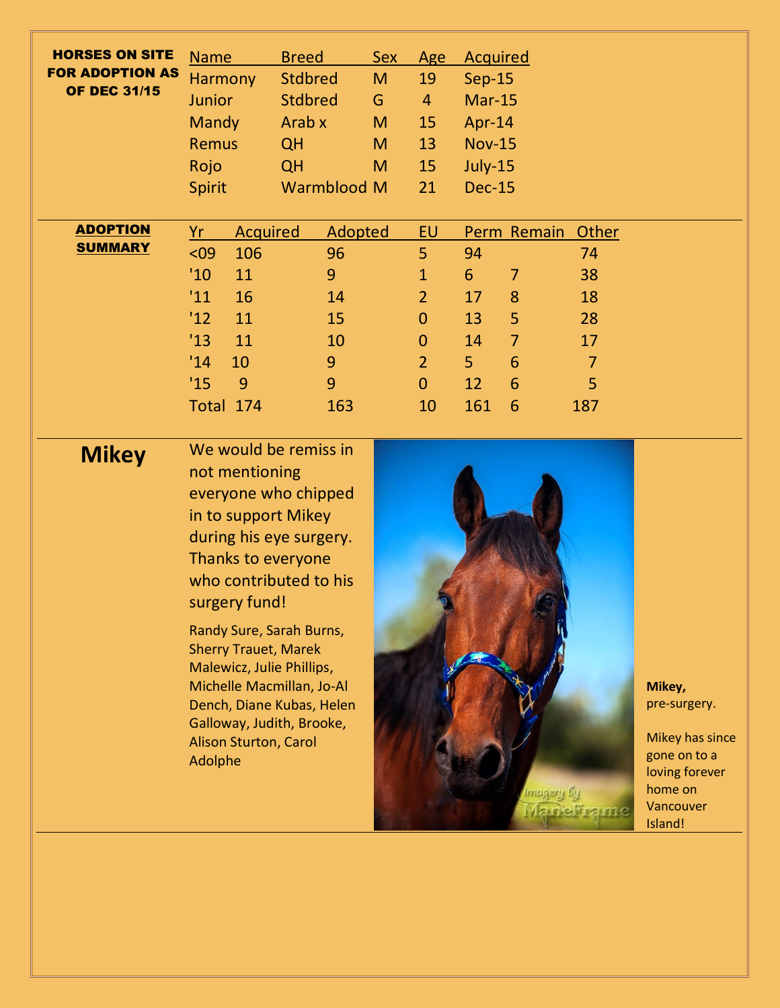| <b>HORSES ON SITE</b><br><b>FOR ADOPTION AS</b><br><b>OF DEC 31/15</b> | <b>Name</b><br><b>Harmony</b><br><b>Junior</b><br>Mandy<br><b>Remus</b><br>Rojo<br><b>Spirit</b>                                                                                                                                                                          | <b>Breed</b><br><b>Stdbred</b><br><b>Stdbred</b><br>Arab x<br><b>QH</b><br><b>QH</b><br>Warmblood M                             | <b>Sex</b><br>M<br>G<br>M<br>M<br>M | Age<br>19<br>$\overline{4}$<br>15<br>13<br>15<br>21                                                                 | <b>Acquired</b><br><b>Sep-15</b><br>$Mar-15$<br>Apr-14<br><b>Nov-15</b><br>July-15<br><b>Dec-15</b>                                                |                                                                   |                                                                                                                |
|------------------------------------------------------------------------|---------------------------------------------------------------------------------------------------------------------------------------------------------------------------------------------------------------------------------------------------------------------------|---------------------------------------------------------------------------------------------------------------------------------|-------------------------------------|---------------------------------------------------------------------------------------------------------------------|----------------------------------------------------------------------------------------------------------------------------------------------------|-------------------------------------------------------------------|----------------------------------------------------------------------------------------------------------------|
| <b>ADOPTION</b><br><b>SUMMARY</b>                                      | <b>Acquired</b><br>Yr<br>106<br>$09$<br>'10<br>11<br>'11<br>16<br>12<br>11<br>'13<br>11<br>'14<br>10<br>'15<br>9<br>Total 174                                                                                                                                             | Adopted<br>96<br>9<br>14<br>15<br>10<br>9<br>9<br>163                                                                           |                                     | EU<br>5<br>$\mathbf{1}$<br>$\overline{2}$<br>$\mathbf{0}$<br>$\mathbf{0}$<br>$\overline{2}$<br>$\overline{0}$<br>10 | Perm Remain<br>94<br>$6\phantom{1}$<br>$\overline{7}$<br>8<br>17<br>5<br>13<br>$\overline{7}$<br>14<br>$6\phantom{1}6$<br>5<br>6<br>12<br>6<br>161 | Other<br>74<br>38<br>18<br>28<br>17<br>$\overline{7}$<br>5<br>187 |                                                                                                                |
| <b>Mikey</b>                                                           | not mentioning<br>in to support Mikey<br>Thanks to everyone<br>surgery fund!<br>Randy Sure, Sarah Burns,<br><b>Sherry Trauet, Marek</b><br>Malewicz, Julie Phillips,<br>Michelle Macmillan, Jo-Al<br>Galloway, Judith, Brooke,<br><b>Alison Sturton, Carol</b><br>Adolphe | We would be remiss in<br>everyone who chipped<br>during his eye surgery.<br>who contributed to his<br>Dench, Diane Kubas, Helen |                                     |                                                                                                                     |                                                                                                                                                    | imagery by<br>Maneframe                                           | Mikey,<br>pre-surgery.<br>Mikey has since<br>gone on to a<br>loving forever<br>home on<br>Vancouver<br>Island! |